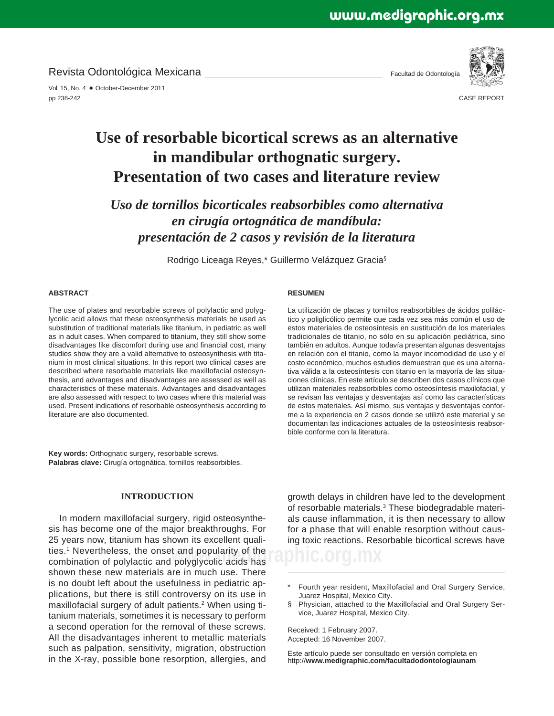Revista Odontológica Mexicana

Vol. 15, No. 4 · October-December 2011 pp 238-242

Facultad de Odontología



CASE REPORT

# **Use of resorbable bicortical screws as an alternative in mandibular orthognatic surgery. Presentation of two cases and literature review**

*Uso de tornillos bicorticales reabsorbibles como alternativa en cirugía ortognática de mandíbula: presentación de 2 casos y revisión de la literatura*

Rodrigo Liceaga Reyes,\* Guillermo Velázquez Gracia§

#### **ABSTRACT**

The use of plates and resorbable screws of polylactic and polyglycolic acid allows that these osteosynthesis materials be used as substitution of traditional materials like titanium, in pediatric as well as in adult cases. When compared to titanium, they still show some disadvantages like discomfort during use and financial cost, many studies show they are a valid alternative to osteosynthesis with titanium in most clinical situations. In this report two clinical cases are described where resorbable materials like maxillofacial osteosynthesis, and advantages and disadvantages are assessed as well as characteristics of these materials. Advantages and disadvantages are also assessed with respect to two cases where this material was used. Present indications of resorbable osteosynthesis according to literature are also documented.

**Key words:** Orthognatic surgery, resorbable screws. **Palabras clave:** Cirugía ortognática, tornillos reabsorbibles.

# **INTRODUCTION**

ties.<sup>1</sup> Nevertheless, the onset and popularity of the <sub>CO</sub>DhiC.OFG.MX<br>combination of polylactic and polyglycolic acids has CODhiC.OFG.MX In modern maxillofacial surgery, rigid osteosynthesis has become one of the major breakthroughs. For 25 years now, titanium has shown its excellent qualities.1 Nevertheless, the onset and popularity of the shown these new materials are in much use. There is no doubt left about the usefulness in pediatric applications, but there is still controversy on its use in maxillofacial surgery of adult patients.<sup>2</sup> When using titanium materials, sometimes it is necessary to perform a second operation for the removal of these screws. All the disadvantages inherent to metallic materials such as palpation, sensitivity, migration, obstruction in the X-ray, possible bone resorption, allergies, and

#### **RESUMEN**

La utilización de placas y tornillos reabsorbibles de ácidos poliláctico y poliglicólico permite que cada vez sea más común el uso de estos materiales de osteosíntesis en sustitución de los materiales tradicionales de titanio, no sólo en su aplicación pediátrica, sino también en adultos. Aunque todavía presentan algunas desventajas en relación con el titanio, como la mayor incomodidad de uso y el costo económico, muchos estudios demuestran que es una alternativa válida a la osteosíntesis con titanio en la mayoría de las situaciones clínicas. En este artículo se describen dos casos clínicos que utilizan materiales reabsorbibles como osteosíntesis maxilofacial, y se revisan las ventajas y desventajas así como las características de estos materiales. Así mismo, sus ventajas y desventajas conforme a la experiencia en 2 casos donde se utilizó este material y se documentan las indicaciones actuales de la osteosíntesis reabsorbible conforme con la literatura.

growth delays in children have led to the development of resorbable materials.<sup>3</sup> These biodegradable materials cause inflammation, it is then necessary to allow for a phase that will enable resorption without causing toxic reactions. Resorbable bicortical screws have

Fourth year resident, Maxillofacial and Oral Surgery Service, Juarez Hospital, Mexico City.

Received: 1 February 2007. Accepted: 16 November 2007.

Este artículo puede ser consultado en versión completa en http://**www.medigraphic.com/facultadodontologiaunam**

<sup>§</sup> Physician, attached to the Maxillofacial and Oral Surgery Service, Juarez Hospital, Mexico City.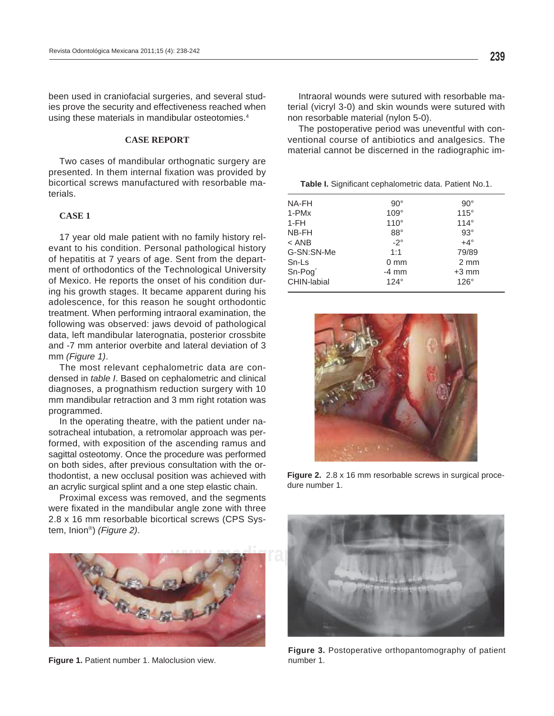been used in craniofacial surgeries, and several studies prove the security and effectiveness reached when using these materials in mandibular osteotomies.<sup>4</sup>

# **CASE REPORT**

Two cases of mandibular orthognatic surgery are presented. In them internal fixation was provided by bicortical screws manufactured with resorbable materials.

# **CASE 1**

17 year old male patient with no family history relevant to his condition. Personal pathological history of hepatitis at 7 years of age. Sent from the department of orthodontics of the Technological University of Mexico. He reports the onset of his condition during his growth stages. It became apparent during his adolescence, for this reason he sought orthodontic treatment. When performing intraoral examination, the following was observed: jaws devoid of pathological data, left mandibular laterognatia, posterior crossbite and -7 mm anterior overbite and lateral deviation of 3 mm *(Figure 1)*.

The most relevant cephalometric data are condensed in *table I*. Based on cephalometric and clinical diagnoses, a prognathism reduction surgery with 10 mm mandibular retraction and 3 mm right rotation was programmed.

In the operating theatre, with the patient under nasotracheal intubation, a retromolar approach was performed, with exposition of the ascending ramus and sagittal osteotomy. Once the procedure was performed on both sides, after previous consultation with the orthodontist, a new occlusal position was achieved with an acrylic surgical splint and a one step elastic chain.

Proximal excess was removed, and the segments were fixated in the mandibular angle zone with three 2.8 x 16 mm resorbable bicortical screws (CPS System, Inion®) *(Figure 2)*.



**Figure 1.** Patient number 1. Maloclusion view.

Intraoral wounds were sutured with resorbable material (vicryl 3-0) and skin wounds were sutured with non resorbable material (nylon 5-0).

The postoperative period was uneventful with conventional course of antibiotics and analgesics. The material cannot be discerned in the radiographic im-

Table I. Significant cephalometric data. Patient No.1.

| NA-FH               | $90^{\circ}$   | $90^{\circ}$     |  |
|---------------------|----------------|------------------|--|
| 1-PM <sub>x</sub>   | $109^\circ$    | 115°             |  |
| $1-FH$              | $110^\circ$    | $114^\circ$      |  |
| NB-FH               | $88^\circ$     | $93^\circ$       |  |
| $<$ ANB             | $-2^{\circ}$   | $+4^\circ$       |  |
| G-SN:SN-Me          | 1:1            | 79/89            |  |
| Sn-Ls               | $0 \text{ mm}$ | $2 \, \text{mm}$ |  |
| Sn-Pog <sup>'</sup> | $-4$ mm        | $+3$ mm          |  |
| CHIN-labial         | $124^\circ$    | $126^\circ$      |  |
|                     |                |                  |  |



**Figure 2.** 2.8 x 16 mm resorbable screws in surgical procedure number 1.



**Figure 3.** Postoperative orthopantomography of patient number 1.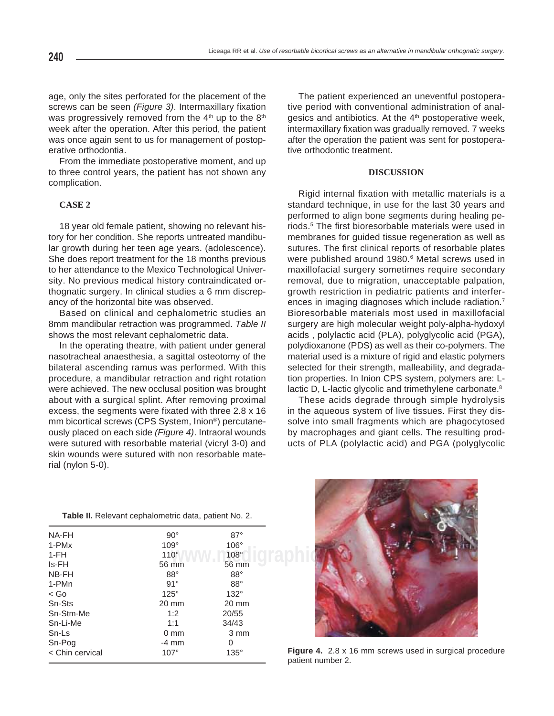age, only the sites perforated for the placement of the screws can be seen (Figure 3). Intermaxillary fixation was progressively removed from the  $4<sup>th</sup>$  up to the  $8<sup>th</sup>$ week after the operation. After this period, the patient was once again sent to us for management of postoperative orthodontia.

From the immediate postoperative moment, and up to three control years, the patient has not shown any complication.

# **CASE 2**

18 year old female patient, showing no relevant history for her condition. She reports untreated mandibular growth during her teen age years. (adolescence). She does report treatment for the 18 months previous to her attendance to the Mexico Technological University. No previous medical history contraindicated orthognatic surgery. In clinical studies a 6 mm discrepancy of the horizontal bite was observed.

Based on clinical and cephalometric studies an 8mm mandibular retraction was programmed. *Table II* shows the most relevant cephalometric data.

In the operating theatre, with patient under general nasotracheal anaesthesia, a sagittal osteotomy of the bilateral ascending ramus was performed. With this procedure, a mandibular retraction and right rotation were achieved. The new occlusal position was brought about with a surgical splint. After removing proximal excess, the segments were fixated with three 2.8 x 16 mm bicortical screws (CPS System, Inion®) percutaneously placed on each side *(Figure 4)*. Intraoral wounds were sutured with resorbable material (vicryl 3-0) and skin wounds were sutured with non resorbable material (nylon 5-0).

The patient experienced an uneventful postoperative period with conventional administration of analgesics and antibiotics. At the 4<sup>th</sup> postoperative week, intermaxillary fixation was gradually removed. 7 weeks after the operation the patient was sent for postoperative orthodontic treatment.

#### **DISCUSSION**

Rigid internal fixation with metallic materials is a standard technique, in use for the last 30 years and performed to align bone segments during healing periods.<sup>5</sup> The first bioresorbable materials were used in membranes for guided tissue regeneration as well as sutures. The first clinical reports of resorbable plates were published around 1980.<sup>6</sup> Metal screws used in maxillofacial surgery sometimes require secondary removal, due to migration, unacceptable palpation, growth restriction in pediatric patients and interferences in imaging diagnoses which include radiation.<sup>7</sup> Bioresorbable materials most used in maxillofacial surgery are high molecular weight poly-alpha-hydoxyl acids , polylactic acid (PLA), polyglycolic acid (PGA), polydioxanone (PDS) as well as their co-polymers. The material used is a mixture of rigid and elastic polymers selected for their strength, malleability, and degradation properties. In Inion CPS system, polymers are: Llactic D, L-lactic glycolic and trimethylene carbonate.<sup>8</sup>

These acids degrade through simple hydrolysis in the aqueous system of live tissues. First they dissolve into small fragments which are phagocytosed by macrophages and giant cells. The resulting products of PLA (polylactic acid) and PGA (polyglycolic

| Table II. Relevant cephalometric data, patient No. 2. |
|-------------------------------------------------------|
|                                                       |

| NA-FH             | $90^\circ$     | $87^\circ$  |                         |
|-------------------|----------------|-------------|-------------------------|
| 1-PM <sub>x</sub> | $109^\circ$    | $106^\circ$ |                         |
| $1-FH$            | $110^\circ$    | $108^\circ$ |                         |
| Is-FH             | 56 mm          | 56 mm       |                         |
| NB-FH             | $88^\circ$     | $88^\circ$  |                         |
| 1-PMn             | 91°            | $88^\circ$  |                         |
| $<$ Go            | $125^\circ$    | $132^\circ$ |                         |
| Sn-Sts            | 20 mm          | 20 mm       |                         |
| Sn-Stm-Me         | 1:2            | 20/55       |                         |
| Sn-Li-Me          | 1:1            | 34/43       |                         |
| Sn-Ls             | $0 \text{ mm}$ | 3 mm        |                         |
| Sn-Pog            | $-4$ mm        | 0           |                         |
| < Chin cervical   | $107^\circ$    | $135^\circ$ | Figure 4. 2.8 x 16 mm s |
|                   |                |             | .                       |



gure 4. 2.8 x 16 mm screws used in surgical procedure patient number 2.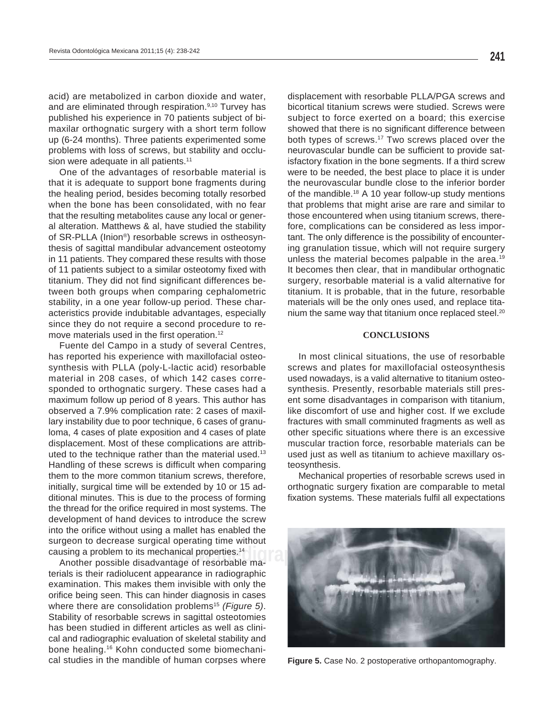acid) are metabolized in carbon dioxide and water, and are eliminated through respiration.<sup>9,10</sup> Turvey has published his experience in 70 patients subject of bimaxilar orthognatic surgery with a short term follow up (6-24 months). Three patients experimented some problems with loss of screws, but stability and occlusion were adequate in all patients.<sup>11</sup>

If 11 patients. They compared these results with those<br>of 11 patients subject to a similar osteotomy fixed with One of the advantages of resorbable material is that it is adequate to support bone fragments during the healing period, besides becoming totally resorbed when the bone has been consolidated, with no fear that the resulting metabolites cause any local or general alteration. Matthews & al, have studied the stability of SR-PLLA (Inion®) resorbable screws in ostheosynthesis of sagittal mandibular advancement osteotomy in 11 patients. They compared these results with those titanium. They did not find significant differences between both groups when comparing cephalometric stability, in a one year follow-up period. These characteristics provide indubitable advantages, especially since they do not require a second procedure to remove materials used in the first operation.<sup>12</sup>

**water causing a problem to its mechanical properties.<sup>14</sup><br>
Another possible disadvantage of resorbable ma-<br>
Cause of the ma-**Fuente del Campo in a study of several Centres, has reported his experience with maxillofacial osteosynthesis with PLLA (poly-L-lactic acid) resorbable material in 208 cases, of which 142 cases corresponded to orthognatic surgery. These cases had a maximum follow up period of 8 years. This author has observed a 7.9% complication rate: 2 cases of maxillary instability due to poor technique, 6 cases of granuloma, 4 cases of plate exposition and 4 cases of plate displacement. Most of these complications are attributed to the technique rather than the material used.<sup>13</sup> Handling of these screws is difficult when comparing them to the more common titanium screws, therefore, initially, surgical time will be extended by 10 or 15 additional minutes. This is due to the process of forming the thread for the orifice required in most systems. The development of hand devices to introduce the screw into the orifice without using a mallet has enabled the surgeon to decrease surgical operating time without

Another possible disadvantage of resorbable materials is their radiolucent appearance in radiographic examination. This makes them invisible with only the orifice being seen. This can hinder diagnosis in cases where there are consolidation problems<sup>15</sup> (Figure 5). Stability of resorbable screws in sagittal osteotomies has been studied in different articles as well as clinical and radiographic evaluation of skeletal stability and bone healing.16 Kohn conducted some biomechanical studies in the mandible of human corpses where

displacement with resorbable PLLA/PGA screws and bicortical titanium screws were studied. Screws were subject to force exerted on a board; this exercise showed that there is no significant difference between both types of screws.17 Two screws placed over the neurovascular bundle can be sufficient to provide satisfactory fixation in the bone segments. If a third screw were to be needed, the best place to place it is under the neurovascular bundle close to the inferior border of the mandible.<sup>18</sup> A 10 year follow-up study mentions that problems that might arise are rare and similar to those encountered when using titanium screws, therefore, complications can be considered as less important. The only difference is the possibility of encountering granulation tissue, which will not require surgery unless the material becomes palpable in the area.<sup>19</sup> It becomes then clear, that in mandibular orthognatic surgery, resorbable material is a valid alternative for titanium. It is probable, that in the future, resorbable materials will be the only ones used, and replace titanium the same way that titanium once replaced steel.<sup>20</sup>

### **CONCLUSIONS**

In most clinical situations, the use of resorbable screws and plates for maxillofacial osteosynthesis used nowadays, is a valid alternative to titanium osteosynthesis. Presently, resorbable materials still present some disadvantages in comparison with titanium, like discomfort of use and higher cost. If we exclude fractures with small comminuted fragments as well as other specific situations where there is an excessive muscular traction force, resorbable materials can be used just as well as titanium to achieve maxillary osteosynthesis.

Mechanical properties of resorbable screws used in orthognatic surgery fixation are comparable to metal fixation systems. These materials fulfil all expectations



**Figure 5.** Case No. 2 postoperative orthopantomography.